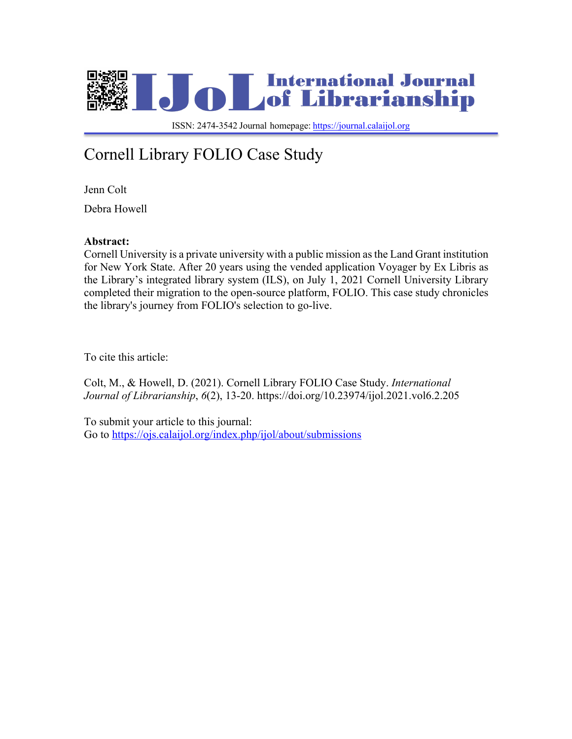

 ISSN: 2474-3542 Journal homepage: https://journal.calaijol.org

# Cornell Library FOLIO Case Study

Jenn Colt

Debra Howell

### **Abstract:**

Cornell University is a private university with a public mission as the Land Grant institution for New York State. After 20 years using the vended application Voyager by Ex Libris as the Library's integrated library system (ILS), on July 1, 2021 Cornell University Library completed their migration to the open-source platform, FOLIO. This case study chronicles the library's journey from FOLIO's selection to go-live.

To cite this article:

Colt, M., & Howell, D. (2021). Cornell Library FOLIO Case Study. *International Journal of Librarianship*, *6*(2), 13-20. https://doi.org/10.23974/ijol.2021.vol6.2.205

To submit your article to this journal: Go to https://ojs.calaijol.org/index.php/ijol/about/submissions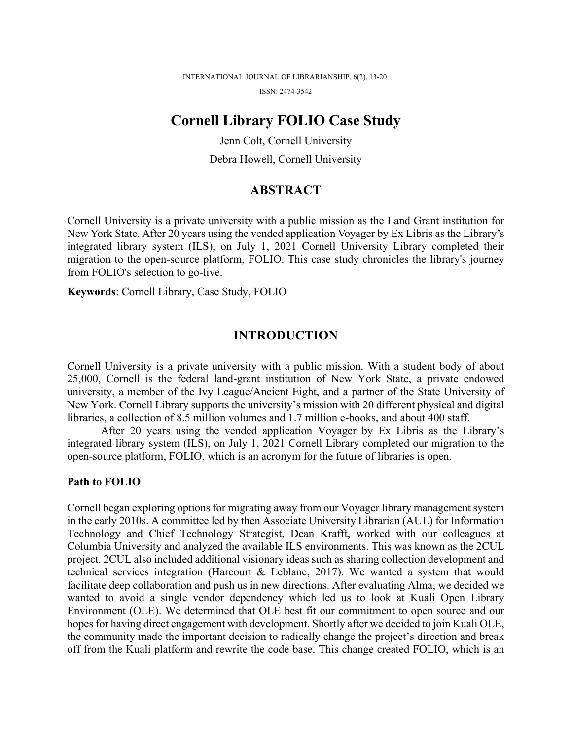## **Cornell Library FOLIO Case Study**

Jenn Colt, Cornell University Debra Howell, Cornell University

## **ABSTRACT**

Cornell University is a private university with a public mission as the Land Grant institution for New York State. After 20 years using the vended application Voyager by Ex Libris as the Library's integrated library system (ILS), on July 1, 2021 Cornell University Library completed their migration to the open-source platform, FOLIO. This case study chronicles the library's journey from FOLIO's selection to go-live.

**Keywords**: Cornell Library, Case Study, FOLIO

## **INTRODUCTION**

Cornell University is a private university with a public mission. With a student body of about 25,000, Cornell is the federal land-grant institution of New York State, a private endowed university, a member of the Ivy League/Ancient Eight, and a partner of the State University of New York. Cornell Library supports the university's mission with 20 different physical and digital libraries, a collection of 8.5 million volumes and 1.7 million e-books, and about 400 staff.

After 20 years using the vended application Voyager by Ex Libris as the Library's integrated library system (ILS), on July 1, 2021 Cornell Library completed our migration to the open-source platform, FOLIO, which is an acronym for the future of libraries is open.

### **Path to FOLIO**

Cornell began exploring options for migrating away from our Voyager library management system in the early 2010s. A committee led by then Associate University Librarian (AUL) for Information Technology and Chief Technology Strategist, Dean Krafft, worked with our colleagues at Columbia University and analyzed the available ILS environments. This was known as the 2CUL project. 2CUL also included additional visionary ideas such as sharing collection development and technical services integration (Harcourt & Leblanc, 2017). We wanted a system that would facilitate deep collaboration and push us in new directions. After evaluating Alma, we decided we wanted to avoid a single vendor dependency which led us to look at Kuali Open Library Environment (OLE). We determined that OLE best fit our commitment to open source and our hopes for having direct engagement with development. Shortly after we decided to join Kuali OLE, the community made the important decision to radically change the project's direction and break off from the Kuali platform and rewrite the code base. This change created FOLIO, which is an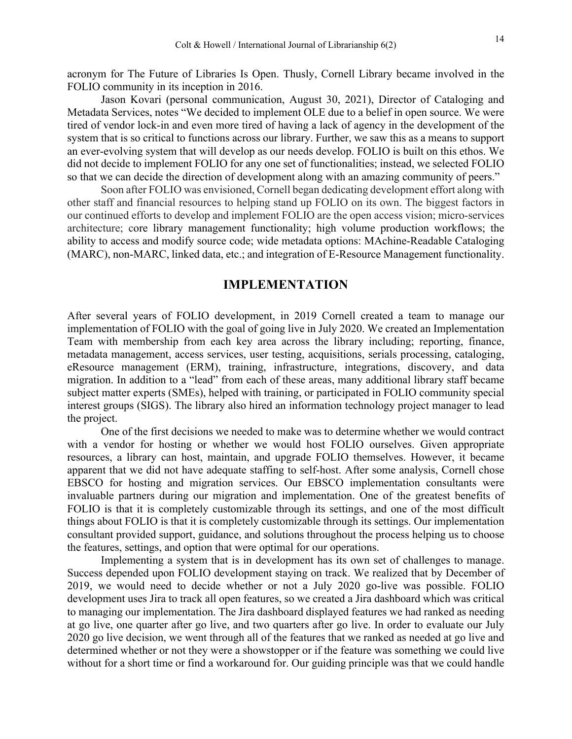acronym for The Future of Libraries Is Open. Thusly, Cornell Library became involved in the FOLIO community in its inception in 2016.

Jason Kovari (personal communication, August 30, 2021), Director of Cataloging and Metadata Services, notes "We decided to implement OLE due to a belief in open source. We were tired of vendor lock-in and even more tired of having a lack of agency in the development of the system that is so critical to functions across our library. Further, we saw this as a means to support an ever-evolving system that will develop as our needs develop. FOLIO is built on this ethos. We did not decide to implement FOLIO for any one set of functionalities; instead, we selected FOLIO so that we can decide the direction of development along with an amazing community of peers."

Soon after FOLIO was envisioned, Cornell began dedicating development effort along with other staff and financial resources to helping stand up FOLIO on its own. The biggest factors in our continued efforts to develop and implement FOLIO are the open access vision; micro-services architecture; core library management functionality; high volume production workflows; the ability to access and modify source code; wide metadata options: MAchine-Readable Cataloging (MARC), non-MARC, linked data, etc.; and integration of E-Resource Management functionality.

## **IMPLEMENTATION**

After several years of FOLIO development, in 2019 Cornell created a team to manage our implementation of FOLIO with the goal of going live in July 2020. We created an Implementation Team with membership from each key area across the library including; reporting, finance, metadata management, access services, user testing, acquisitions, serials processing, cataloging, eResource management (ERM), training, infrastructure, integrations, discovery, and data migration. In addition to a "lead" from each of these areas, many additional library staff became subject matter experts (SMEs), helped with training, or participated in FOLIO community special interest groups (SIGS). The library also hired an information technology project manager to lead the project.

One of the first decisions we needed to make was to determine whether we would contract with a vendor for hosting or whether we would host FOLIO ourselves. Given appropriate resources, a library can host, maintain, and upgrade FOLIO themselves. However, it became apparent that we did not have adequate staffing to self-host. After some analysis, Cornell chose EBSCO for hosting and migration services. Our EBSCO implementation consultants were invaluable partners during our migration and implementation. One of the greatest benefits of FOLIO is that it is completely customizable through its settings, and one of the most difficult things about FOLIO is that it is completely customizable through its settings. Our implementation consultant provided support, guidance, and solutions throughout the process helping us to choose the features, settings, and option that were optimal for our operations.

Implementing a system that is in development has its own set of challenges to manage. Success depended upon FOLIO development staying on track. We realized that by December of 2019, we would need to decide whether or not a July 2020 go-live was possible. FOLIO development uses Jira to track all open features, so we created a Jira dashboard which was critical to managing our implementation. The Jira dashboard displayed features we had ranked as needing at go live, one quarter after go live, and two quarters after go live. In order to evaluate our July 2020 go live decision, we went through all of the features that we ranked as needed at go live and determined whether or not they were a showstopper or if the feature was something we could live without for a short time or find a workaround for. Our guiding principle was that we could handle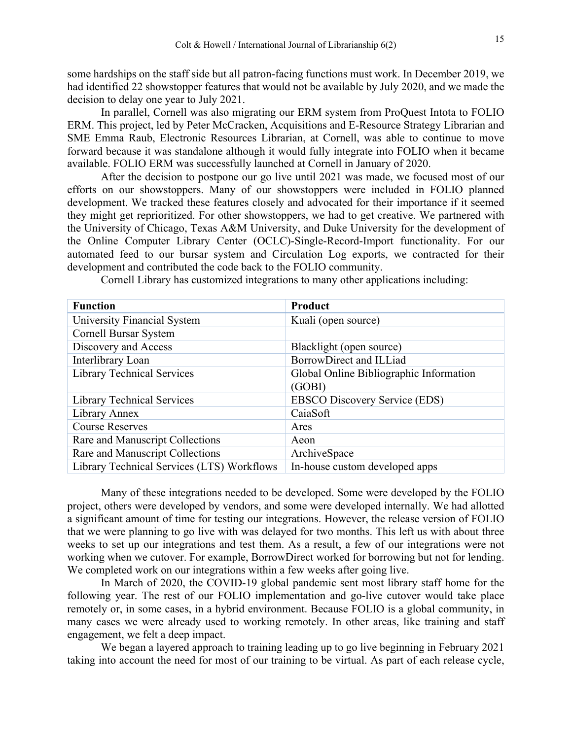some hardships on the staff side but all patron-facing functions must work. In December 2019, we had identified 22 showstopper features that would not be available by July 2020, and we made the decision to delay one year to July 2021.

In parallel, Cornell was also migrating our ERM system from ProQuest Intota to FOLIO ERM. This project, led by Peter McCracken, Acquisitions and E-Resource Strategy Librarian and SME Emma Raub, Electronic Resources Librarian, at Cornell, was able to continue to move forward because it was standalone although it would fully integrate into FOLIO when it became available. FOLIO ERM was successfully launched at Cornell in January of 2020.

After the decision to postpone our go live until 2021 was made, we focused most of our efforts on our showstoppers. Many of our showstoppers were included in FOLIO planned development. We tracked these features closely and advocated for their importance if it seemed they might get reprioritized. For other showstoppers, we had to get creative. We partnered with the University of Chicago, Texas A&M University, and Duke University for the development of the Online Computer Library Center (OCLC)-Single-Record-Import functionality. For our automated feed to our bursar system and Circulation Log exports, we contracted for their development and contributed the code back to the FOLIO community.

| <b>Function</b>                            | <b>Product</b>                          |
|--------------------------------------------|-----------------------------------------|
| University Financial System                | Kuali (open source)                     |
| Cornell Bursar System                      |                                         |
| Discovery and Access                       | Blacklight (open source)                |
| Interlibrary Loan                          | BorrowDirect and ILLiad                 |
| <b>Library Technical Services</b>          | Global Online Bibliographic Information |
|                                            | (GOBI)                                  |
| <b>Library Technical Services</b>          | <b>EBSCO Discovery Service (EDS)</b>    |
| Library Annex                              | CaiaSoft                                |
| <b>Course Reserves</b>                     | Ares                                    |
| Rare and Manuscript Collections            | Aeon                                    |
| Rare and Manuscript Collections            | ArchiveSpace                            |
| Library Technical Services (LTS) Workflows | In-house custom developed apps          |

Cornell Library has customized integrations to many other applications including:

Many of these integrations needed to be developed. Some were developed by the FOLIO project, others were developed by vendors, and some were developed internally. We had allotted a significant amount of time for testing our integrations. However, the release version of FOLIO that we were planning to go live with was delayed for two months. This left us with about three weeks to set up our integrations and test them. As a result, a few of our integrations were not working when we cutover. For example, BorrowDirect worked for borrowing but not for lending. We completed work on our integrations within a few weeks after going live.

In March of 2020, the COVID-19 global pandemic sent most library staff home for the following year. The rest of our FOLIO implementation and go-live cutover would take place remotely or, in some cases, in a hybrid environment. Because FOLIO is a global community, in many cases we were already used to working remotely. In other areas, like training and staff engagement, we felt a deep impact.

We began a layered approach to training leading up to go live beginning in February 2021 taking into account the need for most of our training to be virtual. As part of each release cycle,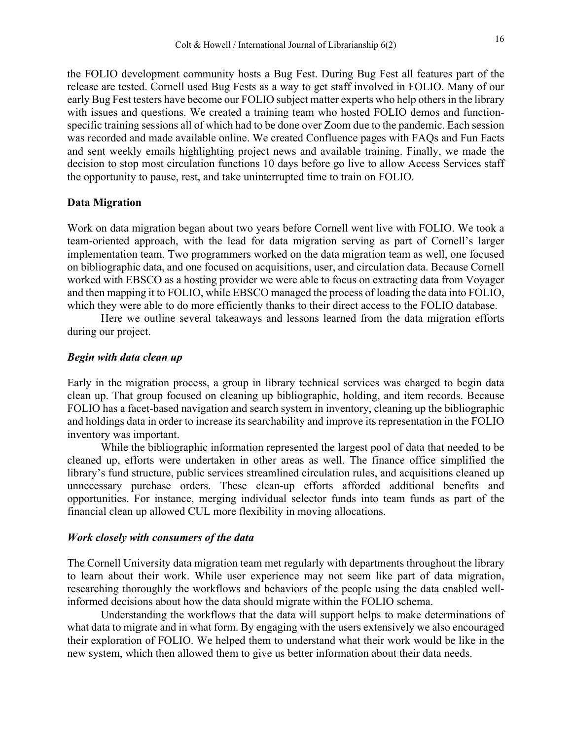the FOLIO development community hosts a Bug Fest. During Bug Fest all features part of the release are tested. Cornell used Bug Fests as a way to get staff involved in FOLIO. Many of our early Bug Fest testers have become our FOLIO subject matter experts who help others in the library with issues and questions. We created a training team who hosted FOLIO demos and functionspecific training sessions all of which had to be done over Zoom due to the pandemic. Each session was recorded and made available online. We created Confluence pages with FAQs and Fun Facts and sent weekly emails highlighting project news and available training. Finally, we made the decision to stop most circulation functions 10 days before go live to allow Access Services staff the opportunity to pause, rest, and take uninterrupted time to train on FOLIO.

#### **Data Migration**

Work on data migration began about two years before Cornell went live with FOLIO. We took a team-oriented approach, with the lead for data migration serving as part of Cornell's larger implementation team. Two programmers worked on the data migration team as well, one focused on bibliographic data, and one focused on acquisitions, user, and circulation data. Because Cornell worked with EBSCO as a hosting provider we were able to focus on extracting data from Voyager and then mapping it to FOLIO, while EBSCO managed the process of loading the data into FOLIO, which they were able to do more efficiently thanks to their direct access to the FOLIO database.

Here we outline several takeaways and lessons learned from the data migration efforts during our project.

#### *Begin with data clean up*

Early in the migration process, a group in library technical services was charged to begin data clean up. That group focused on cleaning up bibliographic, holding, and item records. Because FOLIO has a facet-based navigation and search system in inventory, cleaning up the bibliographic and holdings data in order to increase its searchability and improve its representation in the FOLIO inventory was important.

While the bibliographic information represented the largest pool of data that needed to be cleaned up, efforts were undertaken in other areas as well. The finance office simplified the library's fund structure, public services streamlined circulation rules, and acquisitions cleaned up unnecessary purchase orders. These clean-up efforts afforded additional benefits and opportunities. For instance, merging individual selector funds into team funds as part of the financial clean up allowed CUL more flexibility in moving allocations.

#### *Work closely with consumers of the data*

The Cornell University data migration team met regularly with departments throughout the library to learn about their work. While user experience may not seem like part of data migration, researching thoroughly the workflows and behaviors of the people using the data enabled wellinformed decisions about how the data should migrate within the FOLIO schema.

Understanding the workflows that the data will support helps to make determinations of what data to migrate and in what form. By engaging with the users extensively we also encouraged their exploration of FOLIO. We helped them to understand what their work would be like in the new system, which then allowed them to give us better information about their data needs.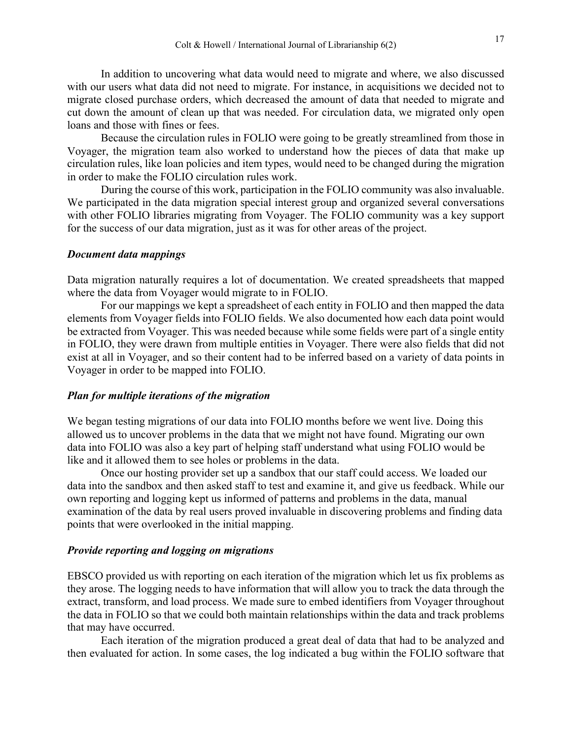In addition to uncovering what data would need to migrate and where, we also discussed with our users what data did not need to migrate. For instance, in acquisitions we decided not to migrate closed purchase orders, which decreased the amount of data that needed to migrate and cut down the amount of clean up that was needed. For circulation data, we migrated only open loans and those with fines or fees.

Because the circulation rules in FOLIO were going to be greatly streamlined from those in Voyager, the migration team also worked to understand how the pieces of data that make up circulation rules, like loan policies and item types, would need to be changed during the migration in order to make the FOLIO circulation rules work.

During the course of this work, participation in the FOLIO community was also invaluable. We participated in the data migration special interest group and organized several conversations with other FOLIO libraries migrating from Voyager. The FOLIO community was a key support for the success of our data migration, just as it was for other areas of the project.

#### *Document data mappings*

Data migration naturally requires a lot of documentation. We created spreadsheets that mapped where the data from Voyager would migrate to in FOLIO.

For our mappings we kept a spreadsheet of each entity in FOLIO and then mapped the data elements from Voyager fields into FOLIO fields. We also documented how each data point would be extracted from Voyager. This was needed because while some fields were part of a single entity in FOLIO, they were drawn from multiple entities in Voyager. There were also fields that did not exist at all in Voyager, and so their content had to be inferred based on a variety of data points in Voyager in order to be mapped into FOLIO.

#### *Plan for multiple iterations of the migration*

We began testing migrations of our data into FOLIO months before we went live. Doing this allowed us to uncover problems in the data that we might not have found. Migrating our own data into FOLIO was also a key part of helping staff understand what using FOLIO would be like and it allowed them to see holes or problems in the data.

Once our hosting provider set up a sandbox that our staff could access. We loaded our data into the sandbox and then asked staff to test and examine it, and give us feedback. While our own reporting and logging kept us informed of patterns and problems in the data, manual examination of the data by real users proved invaluable in discovering problems and finding data points that were overlooked in the initial mapping.

#### *Provide reporting and logging on migrations*

EBSCO provided us with reporting on each iteration of the migration which let us fix problems as they arose. The logging needs to have information that will allow you to track the data through the extract, transform, and load process. We made sure to embed identifiers from Voyager throughout the data in FOLIO so that we could both maintain relationships within the data and track problems that may have occurred.

Each iteration of the migration produced a great deal of data that had to be analyzed and then evaluated for action. In some cases, the log indicated a bug within the FOLIO software that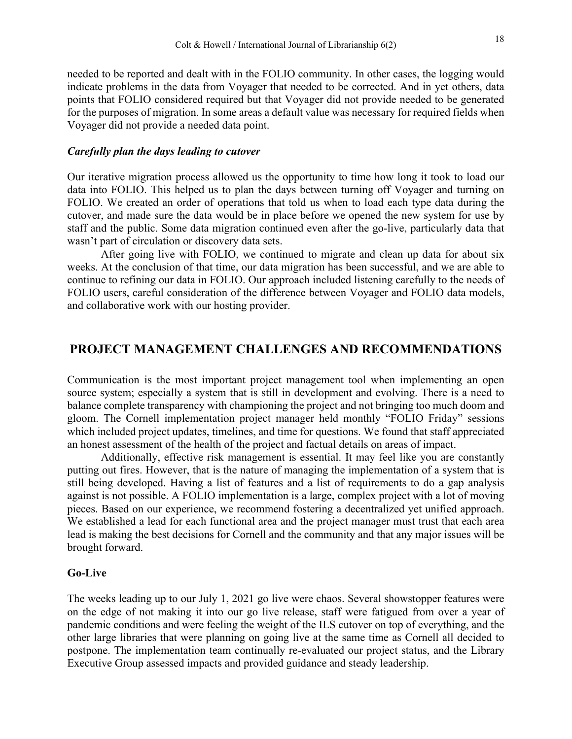needed to be reported and dealt with in the FOLIO community. In other cases, the logging would indicate problems in the data from Voyager that needed to be corrected. And in yet others, data points that FOLIO considered required but that Voyager did not provide needed to be generated for the purposes of migration. In some areas a default value was necessary for required fields when Voyager did not provide a needed data point.

#### *Carefully plan the days leading to cutover*

Our iterative migration process allowed us the opportunity to time how long it took to load our data into FOLIO. This helped us to plan the days between turning off Voyager and turning on FOLIO. We created an order of operations that told us when to load each type data during the cutover, and made sure the data would be in place before we opened the new system for use by staff and the public. Some data migration continued even after the go-live, particularly data that wasn't part of circulation or discovery data sets.

After going live with FOLIO, we continued to migrate and clean up data for about six weeks. At the conclusion of that time, our data migration has been successful, and we are able to continue to refining our data in FOLIO. Our approach included listening carefully to the needs of FOLIO users, careful consideration of the difference between Voyager and FOLIO data models, and collaborative work with our hosting provider.

## **PROJECT MANAGEMENT CHALLENGES AND RECOMMENDATIONS**

Communication is the most important project management tool when implementing an open source system; especially a system that is still in development and evolving. There is a need to balance complete transparency with championing the project and not bringing too much doom and gloom. The Cornell implementation project manager held monthly "FOLIO Friday" sessions which included project updates, timelines, and time for questions. We found that staff appreciated an honest assessment of the health of the project and factual details on areas of impact.

Additionally, effective risk management is essential. It may feel like you are constantly putting out fires. However, that is the nature of managing the implementation of a system that is still being developed. Having a list of features and a list of requirements to do a gap analysis against is not possible. A FOLIO implementation is a large, complex project with a lot of moving pieces. Based on our experience, we recommend fostering a decentralized yet unified approach. We established a lead for each functional area and the project manager must trust that each area lead is making the best decisions for Cornell and the community and that any major issues will be brought forward.

#### **Go-Live**

The weeks leading up to our July 1, 2021 go live were chaos. Several showstopper features were on the edge of not making it into our go live release, staff were fatigued from over a year of pandemic conditions and were feeling the weight of the ILS cutover on top of everything, and the other large libraries that were planning on going live at the same time as Cornell all decided to postpone. The implementation team continually re-evaluated our project status, and the Library Executive Group assessed impacts and provided guidance and steady leadership.